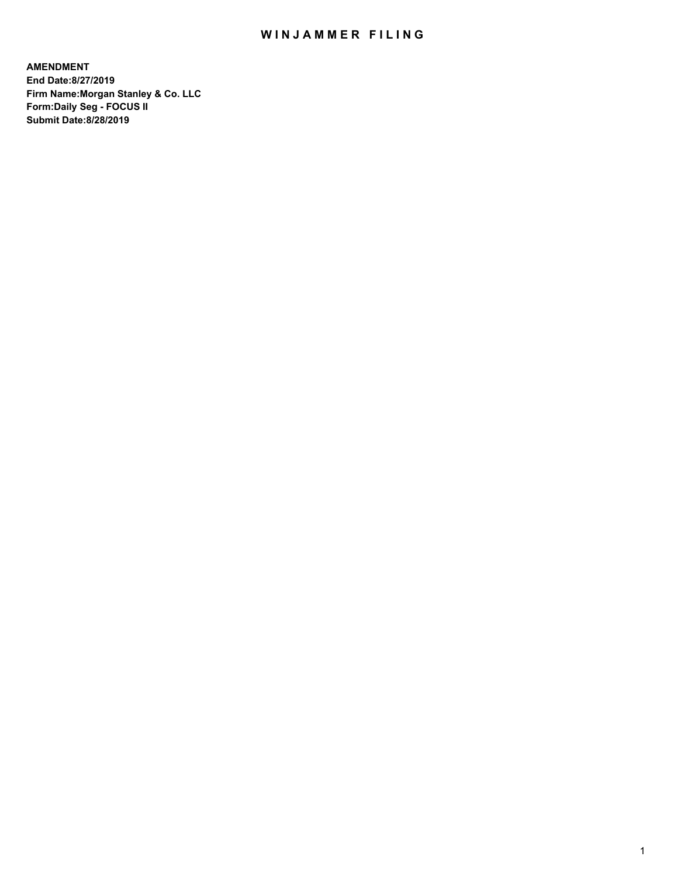## WIN JAMMER FILING

**AMENDMENT End Date:8/27/2019 Firm Name:Morgan Stanley & Co. LLC Form:Daily Seg - FOCUS II Submit Date:8/28/2019**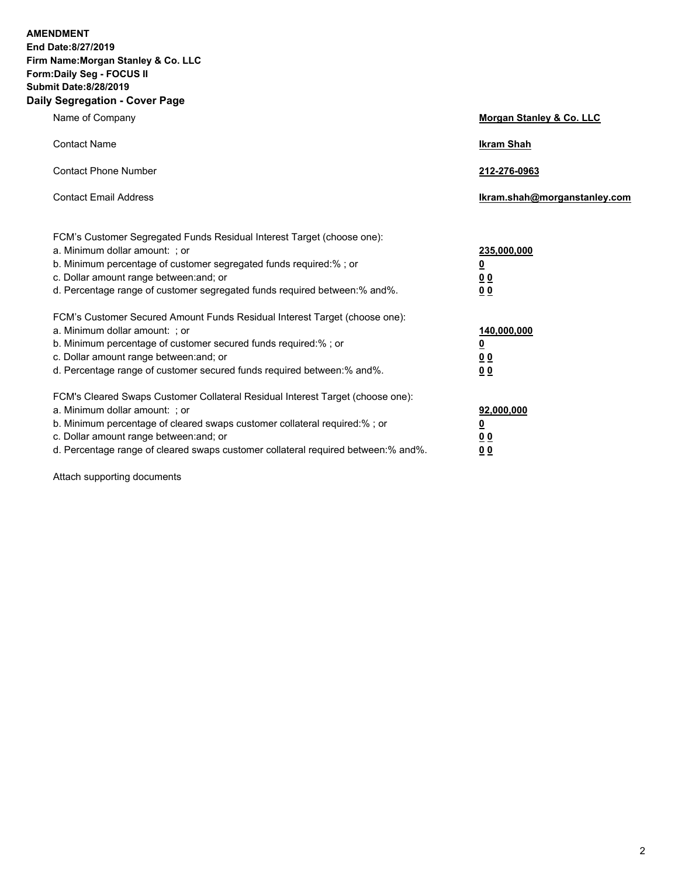**AMENDMENT End Date:8/27/2019 Firm Name:Morgan Stanley & Co. LLC Form:Daily Seg - FOCUS II Submit Date:8/28/2019 Daily Segregation - Cover Page**

| Name of Company                                                                                                                                                                                                                                                                                                               | Morgan Stanley & Co. LLC                                    |
|-------------------------------------------------------------------------------------------------------------------------------------------------------------------------------------------------------------------------------------------------------------------------------------------------------------------------------|-------------------------------------------------------------|
| <b>Contact Name</b>                                                                                                                                                                                                                                                                                                           | <b>Ikram Shah</b>                                           |
| <b>Contact Phone Number</b>                                                                                                                                                                                                                                                                                                   | 212-276-0963                                                |
| <b>Contact Email Address</b>                                                                                                                                                                                                                                                                                                  | Ikram.shah@morganstanley.com                                |
| FCM's Customer Segregated Funds Residual Interest Target (choose one):<br>a. Minimum dollar amount: ; or<br>b. Minimum percentage of customer segregated funds required:% ; or<br>c. Dollar amount range between: and; or<br>d. Percentage range of customer segregated funds required between:% and%.                        | 235,000,000<br><u>0</u><br>00<br><u>00</u>                  |
| FCM's Customer Secured Amount Funds Residual Interest Target (choose one):<br>a. Minimum dollar amount: ; or<br>b. Minimum percentage of customer secured funds required:%; or<br>c. Dollar amount range between: and; or<br>d. Percentage range of customer secured funds required between:% and%.                           | 140,000,000<br><u>0</u><br>0 <sub>0</sub><br>0 <sup>0</sup> |
| FCM's Cleared Swaps Customer Collateral Residual Interest Target (choose one):<br>a. Minimum dollar amount: ; or<br>b. Minimum percentage of cleared swaps customer collateral required:%; or<br>c. Dollar amount range between: and; or<br>d. Percentage range of cleared swaps customer collateral required between:% and%. | 92,000,000<br><u>0</u><br><u>00</u><br>00                   |

Attach supporting documents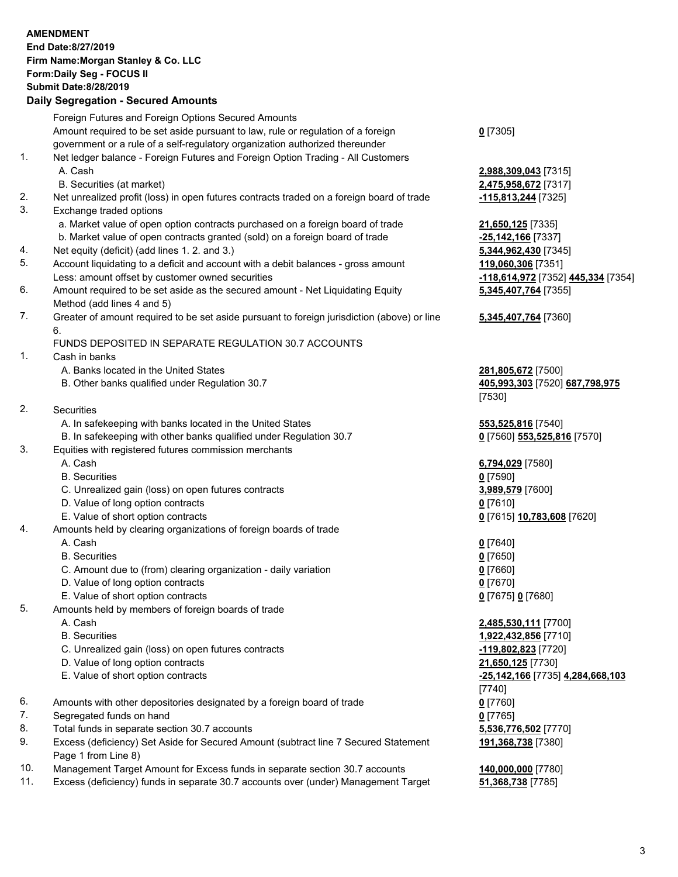|          | <b>AMENDMENT</b><br>End Date: 8/27/2019<br>Firm Name: Morgan Stanley & Co. LLC<br>Form: Daily Seg - FOCUS II<br><b>Submit Date: 8/28/2019</b><br><b>Daily Segregation - Secured Amounts</b> |                                                                |
|----------|---------------------------------------------------------------------------------------------------------------------------------------------------------------------------------------------|----------------------------------------------------------------|
|          | Foreign Futures and Foreign Options Secured Amounts                                                                                                                                         |                                                                |
|          | Amount required to be set aside pursuant to law, rule or regulation of a foreign<br>government or a rule of a self-regulatory organization authorized thereunder                            | $0$ [7305]                                                     |
| 1.       | Net ledger balance - Foreign Futures and Foreign Option Trading - All Customers<br>A. Cash                                                                                                  | 2,988,309,043 [7315]                                           |
| 2.       | B. Securities (at market)<br>Net unrealized profit (loss) in open futures contracts traded on a foreign board of trade                                                                      | 2,475,958,672 [7317]<br>-115,813,244 [7325]                    |
| 3.       | Exchange traded options                                                                                                                                                                     |                                                                |
|          | a. Market value of open option contracts purchased on a foreign board of trade<br>b. Market value of open contracts granted (sold) on a foreign board of trade                              | 21,650,125 [7335]<br>-25,142,166 [7337]                        |
| 4.<br>5. | Net equity (deficit) (add lines 1.2. and 3.)                                                                                                                                                | 5,344,962,430 [7345]                                           |
|          | Account liquidating to a deficit and account with a debit balances - gross amount<br>Less: amount offset by customer owned securities                                                       | 119,060,306 [7351]<br>-118,614,972 [7352] 445,334 [7354]       |
| 6.       | Amount required to be set aside as the secured amount - Net Liquidating Equity<br>Method (add lines 4 and 5)                                                                                | 5,345,407,764 [7355]                                           |
| 7.       | Greater of amount required to be set aside pursuant to foreign jurisdiction (above) or line<br>6.                                                                                           | 5,345,407,764 [7360]                                           |
|          | FUNDS DEPOSITED IN SEPARATE REGULATION 30.7 ACCOUNTS                                                                                                                                        |                                                                |
| 1.       | Cash in banks                                                                                                                                                                               |                                                                |
|          | A. Banks located in the United States<br>B. Other banks qualified under Regulation 30.7                                                                                                     | 281,805,672 [7500]<br>405,993,303 [7520] 687,798,975<br>[7530] |
| 2.       | Securities                                                                                                                                                                                  |                                                                |
|          | A. In safekeeping with banks located in the United States                                                                                                                                   | 553,525,816 [7540]                                             |
|          | B. In safekeeping with other banks qualified under Regulation 30.7                                                                                                                          | 0 [7560] 553,525,816 [7570]                                    |
| 3.       | Equities with registered futures commission merchants                                                                                                                                       |                                                                |
|          | A. Cash                                                                                                                                                                                     | 6,794,029 [7580]                                               |
|          | <b>B.</b> Securities                                                                                                                                                                        | $0$ [7590]                                                     |
|          | C. Unrealized gain (loss) on open futures contracts<br>D. Value of long option contracts                                                                                                    | 3,989,579 [7600]<br>$0$ [7610]                                 |
|          | E. Value of short option contracts                                                                                                                                                          | <u>0</u> [7615] 10,783,608 [7620]                              |
| 4.       | Amounts held by clearing organizations of foreign boards of trade                                                                                                                           |                                                                |
|          | A. Cash                                                                                                                                                                                     | $0$ [7640]                                                     |
|          | <b>B.</b> Securities                                                                                                                                                                        | $0$ [7650]                                                     |
|          | C. Amount due to (from) clearing organization - daily variation                                                                                                                             | $0$ [7660]                                                     |
|          | D. Value of long option contracts                                                                                                                                                           | $0$ [7670]                                                     |
|          | E. Value of short option contracts                                                                                                                                                          | 0 [7675] 0 [7680]                                              |
| 5.       | Amounts held by members of foreign boards of trade                                                                                                                                          |                                                                |
|          | A. Cash                                                                                                                                                                                     | 2,485,530,111 [7700]                                           |
|          | <b>B.</b> Securities                                                                                                                                                                        | 1,922,432,856 [7710]                                           |
|          | C. Unrealized gain (loss) on open futures contracts                                                                                                                                         | -119,802,823 [7720]                                            |
|          | D. Value of long option contracts<br>E. Value of short option contracts                                                                                                                     | 21,650,125 [7730]<br>-25,142,166 [7735] 4,284,668,103          |
|          |                                                                                                                                                                                             | [7740]                                                         |
| 6.       | Amounts with other depositories designated by a foreign board of trade                                                                                                                      | $0$ [7760]                                                     |
| 7.       | Segregated funds on hand                                                                                                                                                                    | $0$ [7765]                                                     |
| 8.       | Total funds in separate section 30.7 accounts                                                                                                                                               | 5,536,776,502 [7770]                                           |
| 9.       | Excess (deficiency) Set Aside for Secured Amount (subtract line 7 Secured Statement<br>Page 1 from Line 8)                                                                                  | 191,368,738 [7380]                                             |

- 10. Management Target Amount for Excess funds in separate section 30.7 accounts **140,000,000** [7780]
- 11. Excess (deficiency) funds in separate 30.7 accounts over (under) Management Target **51,368,738** [7785]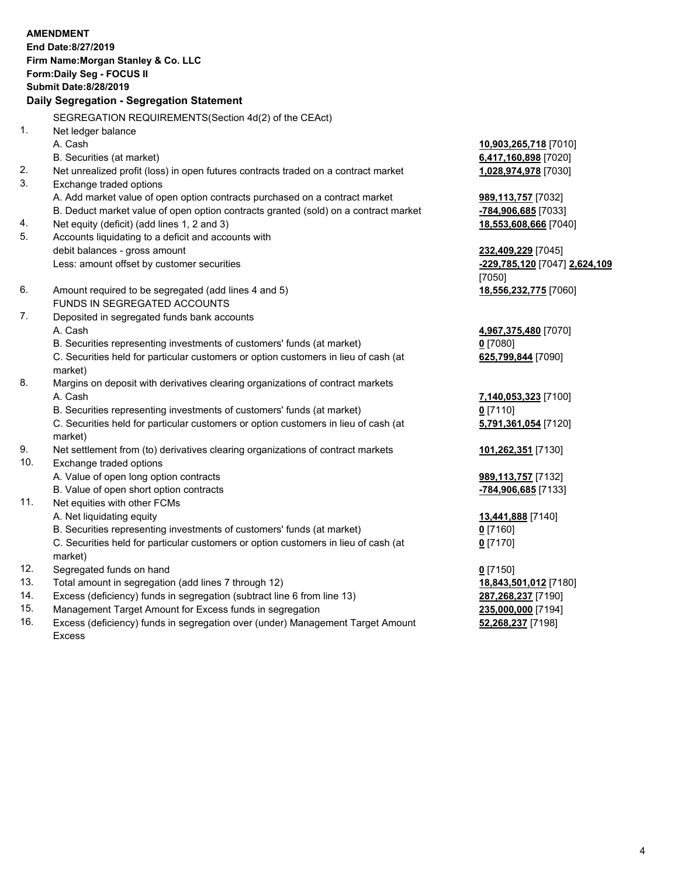|     | <b>AMENDMENT</b>                                                                     |                               |
|-----|--------------------------------------------------------------------------------------|-------------------------------|
|     | End Date:8/27/2019                                                                   |                               |
|     | Firm Name: Morgan Stanley & Co. LLC                                                  |                               |
|     | Form: Daily Seg - FOCUS II<br><b>Submit Date:8/28/2019</b>                           |                               |
|     |                                                                                      |                               |
|     | Daily Segregation - Segregation Statement                                            |                               |
|     | SEGREGATION REQUIREMENTS (Section 4d(2) of the CEAct)                                |                               |
| 1.  | Net ledger balance                                                                   |                               |
|     | A. Cash                                                                              | 10,903,265,718 [7010]         |
|     | B. Securities (at market)                                                            | 6,417,160,898 [7020]          |
| 2.  | Net unrealized profit (loss) in open futures contracts traded on a contract market   | 1,028,974,978 [7030]          |
| 3.  | Exchange traded options                                                              |                               |
|     | A. Add market value of open option contracts purchased on a contract market          | 989,113,757 [7032]            |
|     | B. Deduct market value of open option contracts granted (sold) on a contract market  | -784,906,685 [7033]           |
| 4.  | Net equity (deficit) (add lines 1, 2 and 3)                                          | 18,553,608,666 [7040]         |
| 5.  | Accounts liquidating to a deficit and accounts with                                  |                               |
|     | debit balances - gross amount                                                        | 232,409,229 [7045]            |
|     | Less: amount offset by customer securities                                           | -229,785,120 [7047] 2,624,109 |
| 6.  |                                                                                      | [7050]                        |
|     | Amount required to be segregated (add lines 4 and 5)<br>FUNDS IN SEGREGATED ACCOUNTS | 18,556,232,775 [7060]         |
| 7.  | Deposited in segregated funds bank accounts                                          |                               |
|     | A. Cash                                                                              | 4,967,375,480 [7070]          |
|     | B. Securities representing investments of customers' funds (at market)               | $0$ [7080]                    |
|     | C. Securities held for particular customers or option customers in lieu of cash (at  | 625,799,844 [7090]            |
|     | market)                                                                              |                               |
| 8.  | Margins on deposit with derivatives clearing organizations of contract markets       |                               |
|     | A. Cash                                                                              | 7,140,053,323 [7100]          |
|     | B. Securities representing investments of customers' funds (at market)               | $0$ [7110]                    |
|     | C. Securities held for particular customers or option customers in lieu of cash (at  | 5,791,361,054 [7120]          |
|     | market)                                                                              |                               |
| 9.  | Net settlement from (to) derivatives clearing organizations of contract markets      | 101,262,351 [7130]            |
| 10. | Exchange traded options                                                              |                               |
|     | A. Value of open long option contracts                                               | 989,113,757 [7132]            |
|     | B. Value of open short option contracts                                              | -784,906,685 [7133]           |
| 11. | Net equities with other FCMs                                                         |                               |
|     | A. Net liquidating equity                                                            | 13,441,888 [7140]             |
|     | B. Securities representing investments of customers' funds (at market)               | $0$ [7160]                    |
|     | C. Securities held for particular customers or option customers in lieu of cash (at  | $0$ [7170]                    |
|     | market)                                                                              |                               |
| 12. | Segregated funds on hand                                                             | $0$ [7150]                    |
| 13. | Total amount in segregation (add lines 7 through 12)                                 | 18,843,501,012 [7180]         |
| 14. | Excess (deficiency) funds in segregation (subtract line 6 from line 13)              | 287,268,237 [7190]            |

- 
- 15. Management Target Amount for Excess funds in segregation<br>16. Excess (deficiency) funds in segregation over (under) Management Target Amount **235,000,000** [7198] Excess (deficiency) funds in segregation over (under) Management Target Amount Excess

**52,268,237** [7198]